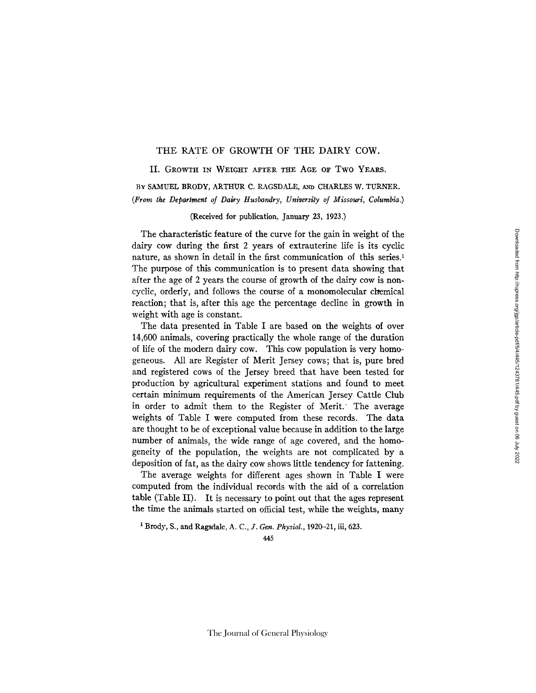## THE RATE OF GROWTH OF THE DAIRY COW.

## II. GROWTH IN WEIGHT AFTER THE AGE OF Two YEARS,

BY SAMUEL BRODY, ARTHUR C. RAGSDALE, AND CHARLES W. TURNER. *(From the Department of Dairy Husbandry, University of Missouri, Columbia.)* 

## (Received for publication, January 23, 1923.)

The characteristic feature of the curve for the gain in weight of the dairy cow during the first 2 years of extrauterine life is its cyclic nature, as shown in detail in the first communication of this series.<sup>1</sup> The purpose of this communication is to present data showing that after the age of 2 years the course of growth of the dairy cow is non. cyclic, orderly, and follows the course of a monomolecular chemical reaction; that is, after this age the percentage decline in growth in weight with age is constant.

The data presented in Table I are based on the weights of over 14,600 animals, covering practically the whole range of the duration of life of the modern dairy cow. This cow population is very homogeneous. All are Register of Merit Jersey cows; that is, pure bred and registered cows of the Jersey breed that have been tested for production by agricultural experiment stations and found to meet certain minimum requirements of the American Jersey Cattle Club in order to admit them to the Register of Merit.' The average weights of Table I were computed from these records. The data are thought to be of exceptional value because in addition to the large number of animals, the wide range of age covered, and the homogeneity of the population, the weights are not complicated by a deposition of fat, as the dairy cow shows little tendency for fattening.

The average weights for different ages shown in Table I were computed from the individual records with the aid of a correlation table (Table II). It is necessary to point out that the ages represent the time the animals started on official test, while the weights, many

<sup>1</sup> Brody, S., and Ragsdale, A. C., *J. Gen. Physiol.*, 1920-21, iii, 623.

The Journal of General Physiology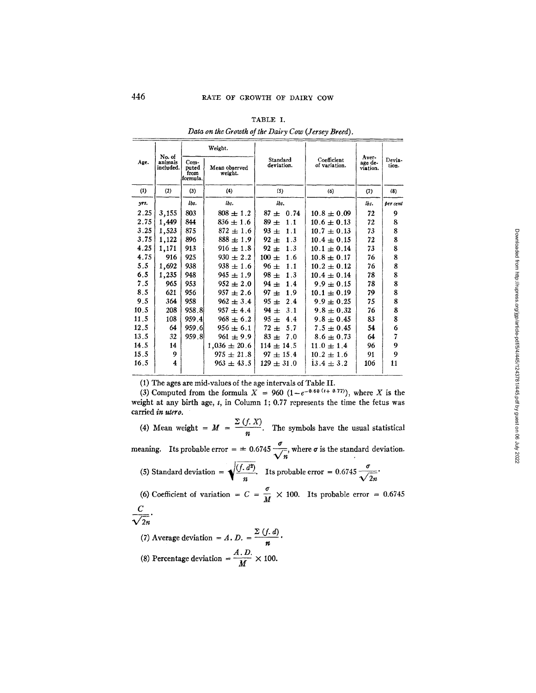|      |                                |                                   | Weight.                  |                        |                              |                              |                 |  |
|------|--------------------------------|-----------------------------------|--------------------------|------------------------|------------------------------|------------------------------|-----------------|--|
| Age. | No. of<br>animals<br>included. | Com-<br>puted<br>from<br>formula. | Mean observed<br>weight. | Standard<br>deviation. | Coefficient<br>of variation. | Aver-<br>age de-<br>viation. | Devia-<br>tion. |  |
| (1)  | (2)                            | (3)                               | (4)                      | (5)                    | (6)                          | (7)                          | (8)             |  |
| yrs. |                                | lbs.                              | lbs.                     | lbs.                   |                              | lbs.                         | ber cent        |  |
| 2.25 | 3,155                          | 803                               | $808 \pm 1.2$            | $87 + 0.74$            | $10.8 \pm 0.09$              | 72                           | 9               |  |
| 2.75 | 1,449                          | 844                               | $836 \pm 1.6$            | $89 \pm$<br>1.1        | $10.6 \pm 0.13$              | 72                           | 8               |  |
| 3.25 | 1,523                          | 875                               | $872 \pm 1.6$            | $93 =$<br>1.1          | $10.7 \pm 0.13$              | 73                           | 8               |  |
| 3.75 | 1,122                          | 896                               | $888 \pm 1.9$            | $92 \pm$<br>1.3        | $10.4 \pm 0.15$              | 72                           | 8               |  |
| 4.25 | 1,171                          | 913                               | $916 \pm 1.8$            | $92 \pm$<br>1.3        | $10.1 \pm 0.14$              | 73                           | 8               |  |
| 4.75 | 916                            | 925                               | $930 \pm 2.2$            | $100 \pm$<br>1.6       | $10.8 \pm 0.17$              | 76                           | 8               |  |
| 5.5  | 1,692                          | 938                               | $938 \pm 1.6$            | $96 \pm$<br>1.1        | $10.2 \pm 0.12$              | 76                           | 8               |  |
| 6.5  | 1,235                          | 948                               | $945 \pm 1.9$            | $98 \pm$<br>1.3        | $10.4 \pm 0.14$              | 78                           | 8               |  |
| 7.5  | 965                            | 953                               | $952 \pm 2.0$            | $94 \pm$<br>1.4        | $9.9 \pm 0.15$               | 78                           | 8               |  |
| 8,5  | 621                            | 956                               | $957 \pm 2.6$            | $97 =$<br>1.9          | $10.1 \pm 0.19$              | 79                           | 8               |  |
| 9.5  | 364                            | 958                               | $962 \pm 3.4$            | $95 \pm$<br>2.4        | $9.9 \pm 0.25$               | 75                           | 8               |  |
| 10.5 | 208                            | 958.8                             | $957 \pm 4.4$            | 94 $\pm$<br>3.1        | $9.8 \pm 0.32$               | 76                           | 8               |  |
| 11.5 | 108                            | 959.4                             | $968 \pm 6.2$            | $95 \pm$<br>4.4        | $9.8 \pm 0.45$               | 83                           | 8               |  |
| 12.5 | 64                             | 959.6                             | $956 \pm 6.1$            | $72 \pm$<br>5.7        | $7.5 \pm 0.45$               | 54                           | 6               |  |
| 13.5 | 32                             | 959.8                             | $961 \pm 9.9$            | $83 \pm 7.0$           | $8.6 \pm 0.73$               | 64                           | 7               |  |
| 14.5 | 14                             |                                   | $1,036 \pm 20.6$         | $114 \pm 14.5$         | $11.0 \pm 1.4$               | 96                           | 9               |  |
| 15.5 | 9                              |                                   | $975 \pm 21.8$           | $97 \pm 15.4$          | $10.2 \pm 1.6$               | 91                           | 9               |  |
| 16.5 | 4                              |                                   | $963 \pm 43.5$           | $129 \pm 31.0$         | $13.4 \pm 3.2$               | 106                          | 11              |  |

TABLE I. *Data on the Growth of the Dairy Cow (Jersey Breed).* 

(1) The ages are mid-values of the age intervals of Table II.

(3) Computed from the formula  $X = 960 (1 - e^{-0.60 (t + 0.77)})$ , where X is the weight at any birth age,  $t$ , in Column 1;  $0.77$  represents the time the fetus was carried *in utero.* 

(4) Mean weight =  $M = \frac{\sum (f. X)}{n}$ . The symbols have the usual statistical

meaning. Its probable error =  $\pm$  0.6745  $\frac{\sigma}{\sqrt{\tau}}$ , where  $\sigma$  is the standard deviation.

(5) Standard deviation =  $\sqrt{\frac{(f \cdot d^2)}{n}}$ . Its probable error = 0.6745  $\frac{\sigma}{\sqrt{2n}}$ . (r (6) Coefficient of variation =  $C = \frac{1}{24} \times 100$ . Its probable error = 0.6745

 $rac{C}{\sqrt{2n}}$ 

(7) Average deviation = A. D. = 
$$
\frac{\sum (f.d)}{n}
$$
  
(8) Percentage deviation =  $\frac{A.D.}{M} \times 100$ .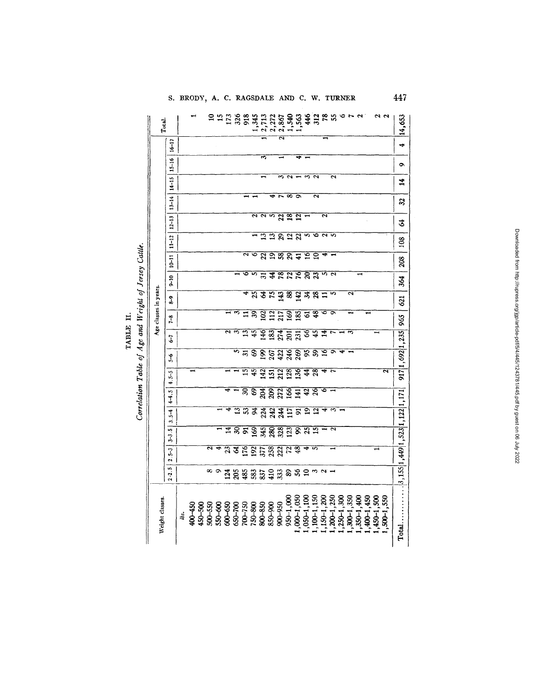|                                                       | Total.                |                       |     |         |         | $\overline{10}$         |          | $15$<br>$173$<br>$326$  |                | 918                  | 1,345           | 2,713           | 2,272                   | 2,867                   | 1,540                   | 1,563           | 446             |                         |                         | 3285         |                  | n<br>O                | $\mathbf{\tilde{c}}$ |              |            | 22<br>22     | 14,653            |
|-------------------------------------------------------|-----------------------|-----------------------|-----|---------|---------|-------------------------|----------|-------------------------|----------------|----------------------|-----------------|-----------------|-------------------------|-------------------------|-------------------------|-----------------|-----------------|-------------------------|-------------------------|--------------|------------------|-----------------------|----------------------|--------------|------------|--------------|-------------------|
|                                                       |                       | $16 - 17$             |     |         |         |                         |          |                         |                |                      |                 |                 |                         | $\overline{\mathbf{c}}$ |                         |                 |                 |                         |                         |              |                  |                       |                      |              |            |              | ÷                 |
|                                                       |                       | $15 - 16$             |     |         |         |                         |          |                         |                |                      |                 | m               |                         |                         |                         |                 |                 |                         |                         |              |                  |                       |                      |              |            |              | $\bullet$         |
|                                                       |                       | $14 - 15$             |     |         |         |                         |          |                         |                |                      |                 |                 |                         | $\tilde{\phantom{a}}$   | $\sim$                  |                 | S               | $\mathbf{z}$            |                         | ั∾           |                  |                       |                      |              |            |              | 4                 |
|                                                       |                       | $13 - 14$             |     |         |         |                         |          |                         |                |                      |                 |                 | ÷                       | ~                       | œ                       | $\bar{\bullet}$ |                 | ন                       |                         |              |                  |                       |                      |              |            |              | 32                |
|                                                       |                       | $12 - 13$             |     |         |         |                         |          |                         |                |                      | 2               |                 | <b>NN</b>               | $\overline{2}$          | $\overline{\mathbf{3}}$ | $\overline{2}$  |                 |                         | $\overline{\mathbf{r}}$ |              |                  |                       |                      |              |            |              | Ż,                |
|                                                       |                       | $11 - 12$             |     |         |         |                         |          |                         |                |                      |                 | 13              |                         | $\overline{29}$         | $\overline{23}$         |                 | ທ               |                         | $\sim$                  | ৸            |                  |                       |                      |              |            |              | 108               |
|                                                       | Age classes in years. | $10 - 11$             |     |         |         |                         |          |                         |                | $\tilde{\mathbf{c}}$ | ق               | $\overline{22}$ | 98                      |                         | 8 म                     |                 | ত্ৰ             | Ξ                       | ٠                       |              |                  |                       |                      |              |            |              | 208               |
|                                                       |                       | $0 - 10$              |     |         |         |                         |          |                         |                | ∘                    | in,             | ಸ               | $\overline{\mathbf{4}}$ | $\overline{3}$          | $\overline{z}$          | इन्न            |                 | $\overline{3}$          | $\approx$ $\sim$        |              |                  |                       |                      |              |            |              | 364               |
|                                                       |                       | a<br>d                |     |         |         |                         |          |                         |                | ۰                    | 25              | Ŧ               | $\overline{5}$          | $\boxed{43}$            | 88                      | $\frac{1}{3}$   |                 | $\overline{28}$         | ።                       | m            |                  | ۸                     |                      |              |            |              | 621               |
| Correlation Table of Age and Weight of Jersey Cattle. |                       | $7 - 8$               |     |         |         |                         |          |                         | ా              | ።                    | 39              | $\overline{2}$  | $\frac{112}{217}$       |                         | 169                     | 185             | 2               | $\overline{3}$          |                         |              |                  |                       |                      |              |            |              | 965               |
|                                                       |                       | 57                    |     |         |         |                         |          | $\overline{\mathbf{c}}$ | S              | ≌                    | $\overline{45}$ | 146             | 183                     | 274                     | $\overline{201}$        | 231             | ঙ               | $\overline{45}$         | 14                      |              |                  | $\tilde{\phantom{a}}$ |                      |              |            |              |                   |
|                                                       |                       | $\tilde{\mathcal{L}}$ |     |         |         |                         |          |                         | $\overline{5}$ | $\mathfrak{L}$       | 69              | 861             | 267                     | 422                     | 246                     | 269             | $\overline{5}$  | $\overline{5}$          | 9                       |              |                  |                       |                      |              |            |              | 917 1, 692 1, 235 |
|                                                       |                       | $4.5 - 5$             |     |         |         |                         |          |                         |                | $\overline{15}$      | 45              | 142             | 51                      | $_{212}$                | $^{128}$                | 136             | $\overline{4}$  | $\overline{8}$          |                         |              |                  |                       |                      |              |            | 2            |                   |
|                                                       |                       | $4 - 5$               |     |         |         |                         |          |                         |                | $\mathbf{S}$         | 69              | 204             | 209                     | 272                     | 166                     | $\overline{41}$ | $\overline{a}$  | হব                      |                         |              |                  |                       |                      |              |            |              |                   |
|                                                       |                       | $\vec{J}$<br>ö        |     |         |         |                         |          |                         | $\mathbf{r}$   | $\overline{3}$       | ३               | 224             | 242                     | 244                     | $\overline{17}$         | $\overline{5}$  | ≘               | $\overline{\mathbf{c}}$ |                         | ∾            |                  |                       |                      |              |            |              |                   |
|                                                       |                       | v<br>3-3              |     |         |         |                         |          | $\overline{\mathbf{z}}$ | $\mathbf{S}$   | $\overline{5}$       | 169             | 345             | 280                     | 328                     | 23                      | द्व             | $\overline{25}$ | $\overline{5}$          |                         | $\sim$       |                  |                       |                      |              |            |              |                   |
|                                                       |                       | J,<br>۸Ì              |     |         |         | $\overline{\mathbf{r}}$ | 4        | 35                      |                | 176                  | $\overline{5}$  | 377             | 258                     | 222                     | $\overline{z}$          | $\overline{3}$  |                 | LO <sub>1</sub>         |                         |              |                  |                       |                      |              |            |              |                   |
|                                                       |                       | 2.2.5                 |     |         |         |                         | $\infty$ | 124                     | 205            | 485                  | 583             | 837             | 410                     | 333                     | $\pmb{8}$               | 52331           |                 |                         |                         |              |                  |                       |                      |              |            |              |                   |
|                                                       | Weight classes.       |                       | lb. | 400-450 | 450-500 | 500-550                 | 550-600  | 600-650                 | 650-700        | $700 - 750$          | 750-800         | 800-850         | 850-900                 | 900-950                 | 950-1,000               | $,000-1,050$    | ,050-1,100      | $,100-1,150$            | $,150-1,200$            | $,200-1,250$ | $, 250 - 1, 300$ | $,300 - 1,350$        | ,350-1,400           | $,400-1,450$ | ,450-1,500 | $,500-1,550$ |                   |

TABLE II.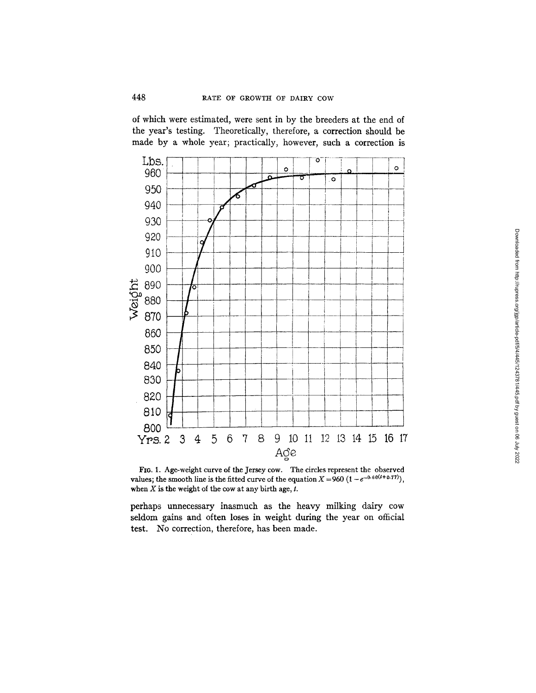of which were estimated, were sent in by the breeders at the end of the year's testing. Theoretically, therefore, a correction should be made by a whole year; practically, however, such a correction is





perhaps unnecessary inasmuch as the heavy milking dairy cow seldom gains and often loses in weight during the year on official test. No correction, therefore, has been made.